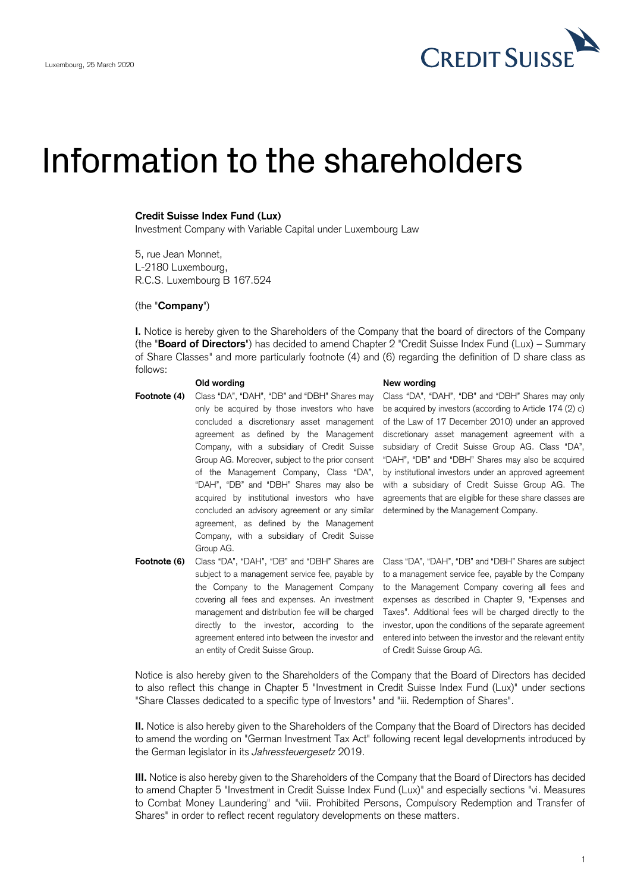

# Information to the shareholders

## **Credit Suisse Index Fund (Lux)**

Investment Company with Variable Capital under Luxembourg Law

5, rue Jean Monnet, L-2180 Luxembourg, R.C.S. Luxembourg B 167.524

### (the "**Company**")

**I.** Notice is hereby given to the Shareholders of the Company that the board of directors of the Company (the "**Board of Directors**") has decided to amend Chapter 2 "Credit Suisse Index Fund (Lux) – Summary of Share Classes" and more particularly footnote (4) and (6) regarding the definition of D share class as follows:

- **Footnote (4)** Class "DA", "DAH", "DB" and "DBH" Shares may only be acquired by those investors who have concluded a discretionary asset management agreement as defined by the Management Company, with a subsidiary of Credit Suisse Group AG. Moreover, subject to the prior consent of the Management Company, Class "DA", "DAH", "DB" and "DBH" Shares may also be acquired by institutional investors who have concluded an advisory agreement or any similar agreement, as defined by the Management Company, with a subsidiary of Credit Suisse Group AG.
- **Footnote (6)** Class "DA", "DAH", "DB" and "DBH" Shares are Class "DA", "DAH", "DB" and "DBH" Shares are subject subject to a management service fee, payable by the Company to the Management Company covering all fees and expenses. An investment management and distribution fee will be charged directly to the investor, according to the agreement entered into between the investor and an entity of Credit Suisse Group.

#### **Old wording the contract of the Contract Sold wording** New wording

Class "DA", "DAH", "DB" and "DBH" Shares may only be acquired by investors (according to Article 174 (2) c) of the Law of 17 December 2010) under an approved discretionary asset management agreement with a subsidiary of Credit Suisse Group AG. Class "DA", "DAH", "DB" and "DBH" Shares may also be acquired by institutional investors under an approved agreement with a subsidiary of Credit Suisse Group AG. The agreements that are eligible for these share classes are determined by the Management Company.

to a management service fee, payable by the Company to the Management Company covering all fees and expenses as described in Chapter 9, "Expenses and Taxes". Additional fees will be charged directly to the investor, upon the conditions of the separate agreement entered into between the investor and the relevant entity of Credit Suisse Group AG.

Notice is also hereby given to the Shareholders of the Company that the Board of Directors has decided to also reflect this change in Chapter 5 "Investment in Credit Suisse Index Fund (Lux)" under sections "Share Classes dedicated to a specific type of Investors" and "iii. Redemption of Shares".

**II.** Notice is also hereby given to the Shareholders of the Company that the Board of Directors has decided to amend the wording on "German Investment Tax Act" following recent legal developments introduced by the German legislator in its *Jahressteuergesetz* 2019.

**III.** Notice is also hereby given to the Shareholders of the Company that the Board of Directors has decided to amend Chapter 5 "Investment in Credit Suisse Index Fund (Lux)" and especially sections "vi. Measures to Combat Money Laundering" and "viii. Prohibited Persons, Compulsory Redemption and Transfer of Shares" in order to reflect recent regulatory developments on these matters.